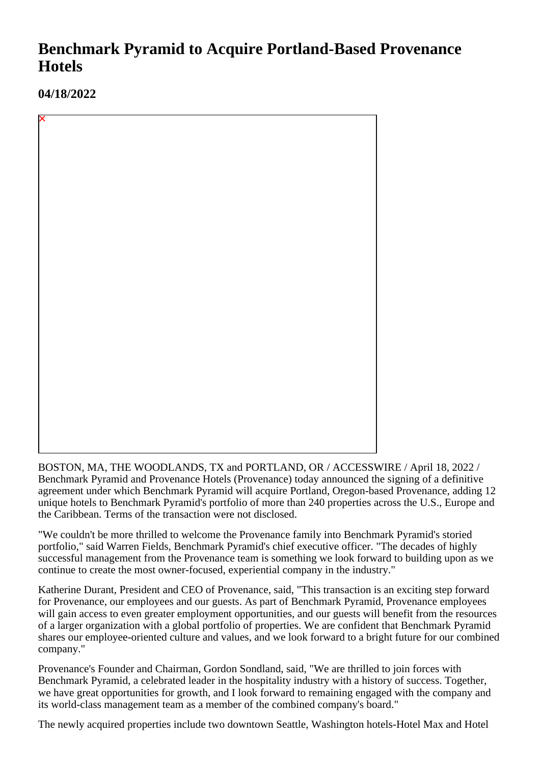## **Benchmark Pyramid to Acquire Portland-Based Provenance Hotels**

**04/18/2022**

BOSTON, MA, THE WOODLANDS, TX and PORTLAND, OR / ACCESSWIRE / April 18, 2022 / Benchmark Pyramid and Provenance Hotels (Provenance) today announced the signing of a definitive agreement under which Benchmark Pyramid will acquire Portland, Oregon-based Provenance, adding 12 unique hotels to Benchmark Pyramid's portfolio of more than 240 properties across the U.S., Europe and the Caribbean. Terms of the transaction were not disclosed.

"We couldn't be more thrilled to welcome the Provenance family into Benchmark Pyramid's storied portfolio," said Warren Fields, Benchmark Pyramid's chief executive officer. "The decades of highly successful management from the Provenance team is something we look forward to building upon as we continue to create the most owner-focused, experiential company in the industry."

Katherine Durant, President and CEO of Provenance, said, "This transaction is an exciting step forward for Provenance, our employees and our guests. As part of Benchmark Pyramid, Provenance employees will gain access to even greater employment opportunities, and our guests will benefit from the resources of a larger organization with a global portfolio of properties. We are confident that Benchmark Pyramid shares our employee-oriented culture and values, and we look forward to a bright future for our combined company."

Provenance's Founder and Chairman, Gordon Sondland, said, "We are thrilled to join forces with Benchmark Pyramid, a celebrated leader in the hospitality industry with a history of success. Together, we have great opportunities for growth, and I look forward to remaining engaged with the company and its world-class management team as a member of the combined company's board."

The newly acquired properties include two downtown Seattle, Washington hotels-Hotel Max and Hotel